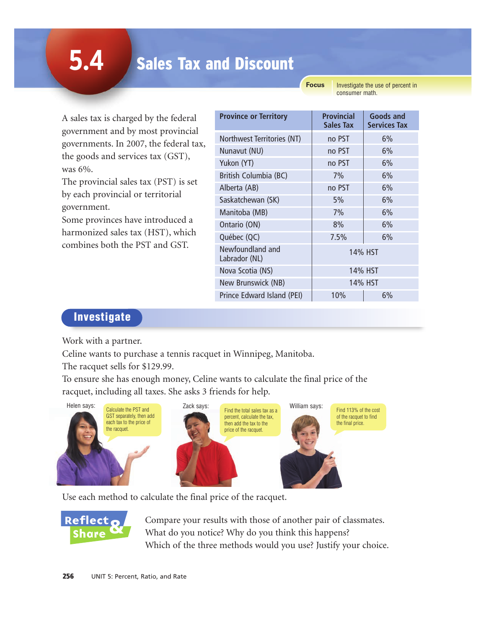# Sales Tax and Discount

**Focus**

Investigate the use of percent in consumer math.

A sales tax is charged by the federal government and by most provincial governments. In 2007, the federal tax, the goods and services tax (GST), was 6%.

The provincial sales tax (PST) is set by each provincial or territorial government.

Some provinces have introduced a harmonized sales tax (HST), which combines both the PST and GST.

| <b>Province or Territory</b>      | <b>Provincial</b><br>Sales Tax | <b>Goods and</b><br><b>Services Tax</b> |
|-----------------------------------|--------------------------------|-----------------------------------------|
| Northwest Territories (NT)        | no PST                         | 6%                                      |
| Nunavut (NU)                      | no PST                         | 6%                                      |
| Yukon (YT)                        | no PST                         | 6%                                      |
| British Columbia (BC)             | 7%                             | 6%                                      |
| Alberta (AB)                      | no PST                         | 6%                                      |
| Saskatchewan (SK)                 | 5%                             | 6%                                      |
| Manitoba (MB)                     | 7%                             | 6%                                      |
| Ontario (ON)                      | 8%                             | 6%                                      |
| Québec (QC)                       | 7.5%                           | 6%                                      |
| Newfoundland and<br>Labrador (NL) | 14% HST                        |                                         |
| Nova Scotia (NS)                  | 14% HST                        |                                         |
| New Brunswick (NB)                | 14% HST                        |                                         |
| Prince Edward Island (PEI)        | 10%                            | 6%                                      |

#### Investigate

Work with a partner.

Celine wants to purchase a tennis racquet in Winnipeg, Manitoba.

The racquet sells for \$129.99.

To ensure she has enough money, Celine wants to calculate the final price of the racquet, including all taxes. She asks 3 friends for help.



Use each method to calculate the final price of the racquet.



Compare your results with those of another pair of classmates. What do you notice? Why do you think this happens? Which of the three methods would you use? Justify your choice.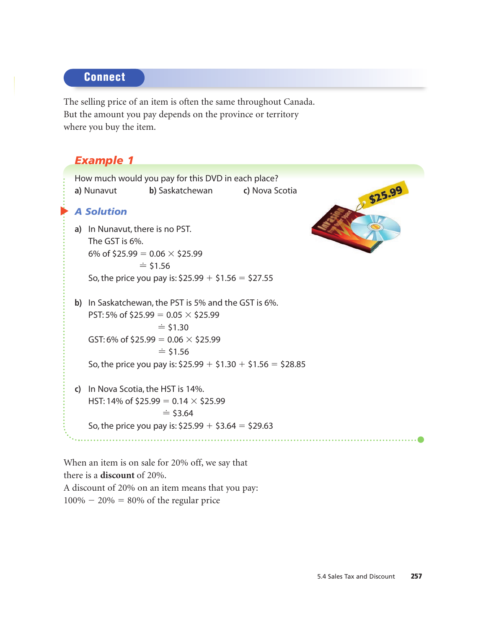#### **Connect**

The selling price of an item is often the same throughout Canada. But the amount you pay depends on the province or territory where you buy the item.

## *Example 1*

|                   | How much would you pay for this DVD in each place?          |        |
|-------------------|-------------------------------------------------------------|--------|
| a) Nunavut        | <b>b</b> ) Saskatchewan <b>c</b> ) Nova Scotia              | 325.99 |
| <b>A Solution</b> |                                                             |        |
|                   | a) In Nunavut, there is no PST.                             |        |
| The GST is 6%.    |                                                             |        |
|                   | 6% of \$25.99 = $0.06 \times$ \$25.99                       |        |
|                   | $=$ \$1.56                                                  |        |
|                   | So, the price you pay is: $$25.99 + $1.56 = $27.55$         |        |
|                   | b) In Saskatchewan, the PST is 5% and the GST is 6%.        |        |
|                   | PST: 5% of \$25.99 = 0.05 $\times$ \$25.99                  |        |
|                   | $\dot{=}$ \$1.30                                            |        |
|                   | GST: 6% of \$25.99 = 0.06 $\times$ \$25.99                  |        |
|                   | $\dot{=}$ \$1.56                                            |        |
|                   | So, the price you pay is: $$25.99 + $1.30 + $1.56 = $28.85$ |        |
|                   | c) In Nova Scotia, the HST is 14%.                          |        |
|                   | HST: 14% of \$25.99 = 0.14 $\times$ \$25.99                 |        |
|                   | $\dot{=}$ \$3.64                                            |        |
|                   | So, the price you pay is: $$25.99 + $3.64 = $29.63$         |        |
|                   |                                                             |        |

When an item is on sale for 20% off, we say that there is a **discount** of 20%. A discount of 20% on an item means that you pay:  $100\% - 20\% = 80\%$  of the regular price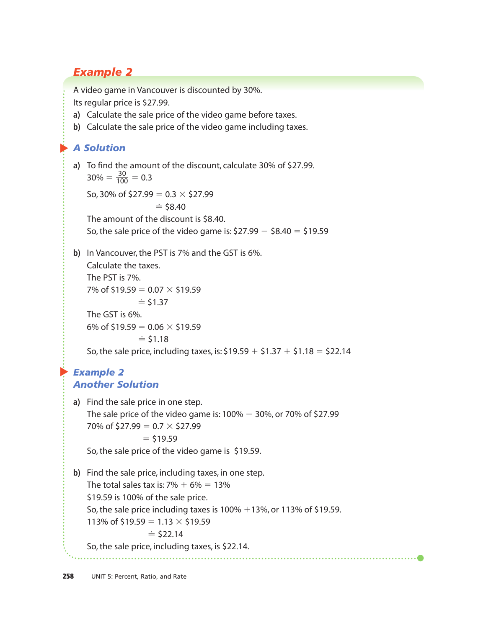## *Example 2*

A video game in Vancouver is discounted by 30%.

Its regular price is \$27.99.

- **a)** Calculate the sale price of the video game before taxes.
- **b)** Calculate the sale price of the video game including taxes.

#### ▲ *A Solution*

**a)** To find the amount of the discount, calculate 30% of \$27.99.  $30\% = \frac{30}{100} = 0.3$ 100

So, 30% of  $$27.99 = 0.3 \times $27.99$ 

$$
\doteq
$$
 \$8.40

The amount of the discount is \$8.40.

So, the sale price of the video game is:  $$27.99 - $8.40 = $19.59$ 

**b)** In Vancouver, the PST is 7% and the GST is 6%. Calculate the taxes.

The PST is 7%. 7% of \$19.59 =  $0.07 \times$  \$19.59  $\dot{=}$  \$1.37 The GST is 6%. 6% of \$19.59 =  $0.06 \times$  \$19.59  $\dot{=}$  \$1.18 So, the sale price, including taxes, is:  $$19.59 + $1.37 + $1.18 = $22.14$ 

#### ▲ *Example 2 Another Solution*

**a)** Find the sale price in one step. The sale price of the video game is:  $100\% - 30\%$ , or 70% of \$27.99 70% of \$27.99 =  $0.7 \times$  \$27.99  $=$  \$19.59 So, the sale price of the video game is \$19.59. **b)** Find the sale price, including taxes, in one step. The total sales tax is:  $7\% + 6\% = 13\%$ \$19.59 is 100% of the sale price.

So, the sale price including taxes is  $100\% + 13\%$ , or 113% of \$19.59.

113% of \$19.59 = 1.13  $\times$  \$19.59

$$
\doteq 522.14
$$

So, the sale price, including taxes, is \$22.14.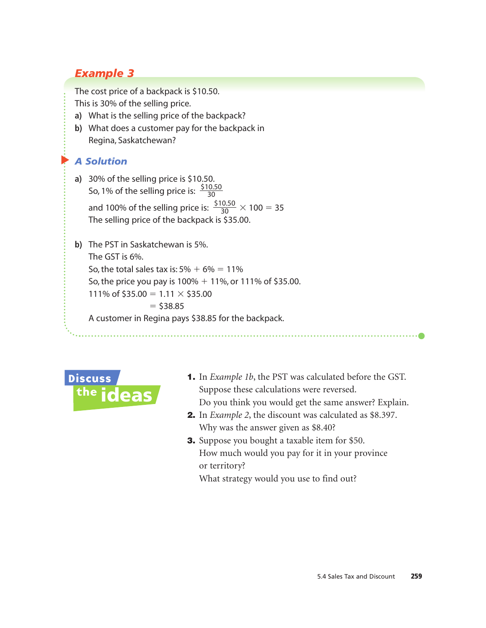## *Example 3*

The cost price of a backpack is \$10.50.

This is 30% of the selling price.

- **a)** What is the selling price of the backpack?
- **b)** What does a customer pay for the backpack in Regina, Saskatchewan?

#### *A Solution*

▲

- **a)** 30% of the selling price is \$10.50. So, 1% of the selling price is:  $\frac{$10.50}{30}$ and 100% of the selling price is:  $\frac{$10.50}{30} \times 100 = 35$ The selling price of the backpack is \$35.00. 30 30
- **b)** The PST in Saskatchewan is 5%. The GST is 6%. So, the total sales tax is:  $5\% + 6\% = 11\%$ So, the price you pay is  $100\% + 11\%$ , or  $111\%$  of \$35.00. 111% of \$35.00 =  $1.11 \times$  \$35.00  $=$  \$38.85 A customer in Regina pays \$38.85 for the backpack.



- 1. In *Example 1b*, the PST was calculated before the GST. Suppose these calculations were reversed. Do you think you would get the same answer? Explain.
- 2. In *Example 2*, the discount was calculated as \$8.397. Why was the answer given as \$8.40?
- **3.** Suppose you bought a taxable item for \$50. How much would you pay for it in your province or territory?

What strategy would you use to find out?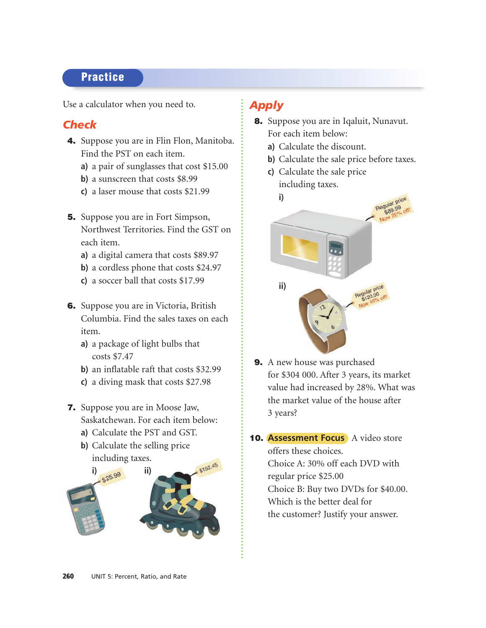## **Practice**

Use a calculator when you need to.

#### *Check*

- 4. Suppose you are in Flin Flon, Manitoba. Find the PST on each item.
	- **a)** a pair of sunglasses that cost \$15.00
	- **b)** a sunscreen that costs \$8.99
	- **c)** a laser mouse that costs \$21.99
- 5. Suppose you are in Fort Simpson, Northwest Territories. Find the GST on each item.
	- **a)** a digital camera that costs \$89.97
	- **b)** a cordless phone that costs \$24.97
	- **c)** a soccer ball that costs \$17.99
- 6. Suppose you are in Victoria, British Columbia. Find the sales taxes on each item.
	- **a)** a package of light bulbs that costs \$7.47
	- **b)** an inflatable raft that costs \$32.99
	- **c)** a diving mask that costs \$27.98
- 7. Suppose you are in Moose Jaw, Saskatchewan. For each item below:
	- **a)** Calculate the PST and GST.
	- **b)** Calculate the selling price including taxes.



## *Apply*

- 8. Suppose you are in Iqaluit, Nunavut. For each item below:
	- **a)** Calculate the discount.
	- **b)** Calculate the sale price before taxes.
	- **c)** Calculate the sale price including taxes.



- 9. A new house was purchased for \$304 000. After 3 years, its market value had increased by 28%. What was the market value of the house after 3 years?
- 10. **Assessment Focus** A video store offers these choices. Choice A: 30% off each DVD with regular price \$25.00 Choice B: Buy two DVDs for \$40.00. Which is the better deal for the customer? Justify your answer.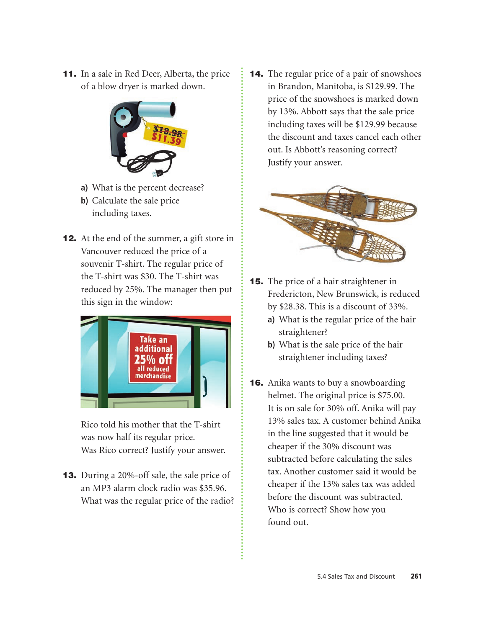11. In a sale in Red Deer, Alberta, the price of a blow dryer is marked down.



- **a)** What is the percent decrease?
- **b)** Calculate the sale price including taxes.
- **12.** At the end of the summer, a gift store in Vancouver reduced the price of a souvenir T-shirt. The regular price of the T-shirt was \$30. The T-shirt was reduced by 25%. The manager then put this sign in the window:



Rico told his mother that the T-shirt was now half its regular price. Was Rico correct? Justify your answer.

13. During a 20%-off sale, the sale price of an MP3 alarm clock radio was \$35.96. What was the regular price of the radio? 14. The regular price of a pair of snowshoes in Brandon, Manitoba, is \$129.99. The price of the snowshoes is marked down by 13%. Abbott says that the sale price including taxes will be \$129.99 because the discount and taxes cancel each other out. Is Abbott's reasoning correct? Justify your answer.



- **15.** The price of a hair straightener in Fredericton, New Brunswick, is reduced by \$28.38. This is a discount of 33%.
	- **a)** What is the regular price of the hair straightener?
	- **b)** What is the sale price of the hair straightener including taxes?
- **16.** Anika wants to buy a snowboarding helmet. The original price is \$75.00. It is on sale for 30% off. Anika will pay 13% sales tax. A customer behind Anika in the line suggested that it would be cheaper if the 30% discount was subtracted before calculating the sales tax. Another customer said it would be cheaper if the 13% sales tax was added before the discount was subtracted. Who is correct? Show how you found out.